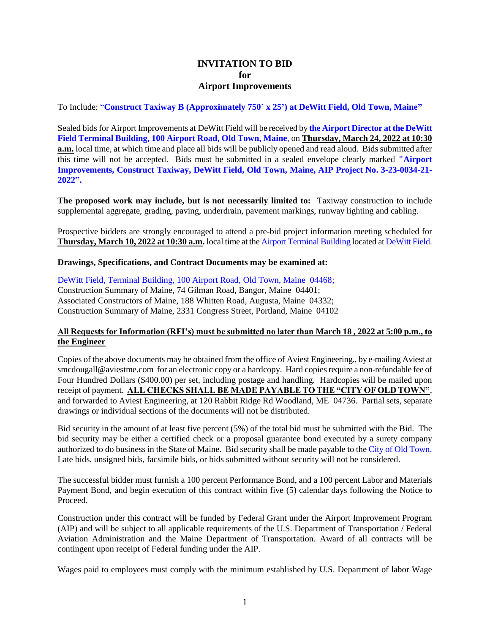## **INVITATION TO BID for Airport Improvements**

To Include: "**Construct Taxiway B (Approximately 750' x 25') at DeWitt Field, Old Town, Maine"**

Sealed bids for Airport Improvements at DeWitt Field will be received by **the Airport Director at the DeWitt Field Terminal Building, 100 Airport Road, Old Town, Maine**, on **Thursday, March 24, 2022 at 10:30 a.m.** local time, at which time and place all bids will be publicly opened and read aloud. Bids submitted after this time will not be accepted. Bids must be submitted in a sealed envelope clearly marked **"Airport Improvements, Construct Taxiway, DeWitt Field, Old Town, Maine, AIP Project No. 3-23-0034-21- 2022".**

**The proposed work may include, but is not necessarily limited to:** Taxiway construction to include supplemental aggregate, grading, paving, underdrain, pavement markings, runway lighting and cabling.

Prospective bidders are strongly encouraged to attend a pre-bid project information meeting scheduled for **Thursday, March 10, 2022 at 10:30 a.m.** local time at the Airport Terminal Building located at DeWitt Field.

## **Drawings, Specifications, and Contract Documents may be examined at:**

DeWitt Field, Terminal Building, 100 Airport Road, Old Town, Maine 04468; Construction Summary of Maine, 74 Gilman Road, Bangor, Maine 04401; Associated Constructors of Maine, 188 Whitten Road, Augusta, Maine 04332; Construction Summary of Maine, 2331 Congress Street, Portland, Maine 04102

## **All Requests for Information (RFI's) must be submitted no later than March 18 , 2022 at 5:00 p.m., to the Engineer**

Copies of the above documents may be obtained from the office of Aviest Engineering., by e-mailing Aviest at smcdougall@aviestme.com for an electronic copy or a hardcopy. Hard copies require a non-refundable fee of Four Hundred Dollars (\$400.00) per set, including postage and handling. Hardcopies will be mailed upon receipt of payment. **ALL CHECKS SHALL BE MADE PAYABLE TO THE "CITY OF OLD TOWN"**, and forwarded to Aviest Engineering, at 120 Rabbit Ridge Rd Woodland, ME 04736. Partial sets, separate drawings or individual sections of the documents will not be distributed.

Bid security in the amount of at least five percent (5%) of the total bid must be submitted with the Bid. The bid security may be either a certified check or a proposal guarantee bond executed by a surety company authorized to do business in the State of Maine. Bid security shall be made payable to the City of Old Town. Late bids, unsigned bids, facsimile bids, or bids submitted without security will not be considered.

The successful bidder must furnish a 100 percent Performance Bond, and a 100 percent Labor and Materials Payment Bond, and begin execution of this contract within five (5) calendar days following the Notice to Proceed.

Construction under this contract will be funded by Federal Grant under the Airport Improvement Program (AIP) and will be subject to all applicable requirements of the U.S. Department of Transportation / Federal Aviation Administration and the Maine Department of Transportation. Award of all contracts will be contingent upon receipt of Federal funding under the AIP.

Wages paid to employees must comply with the minimum established by U.S. Department of labor Wage